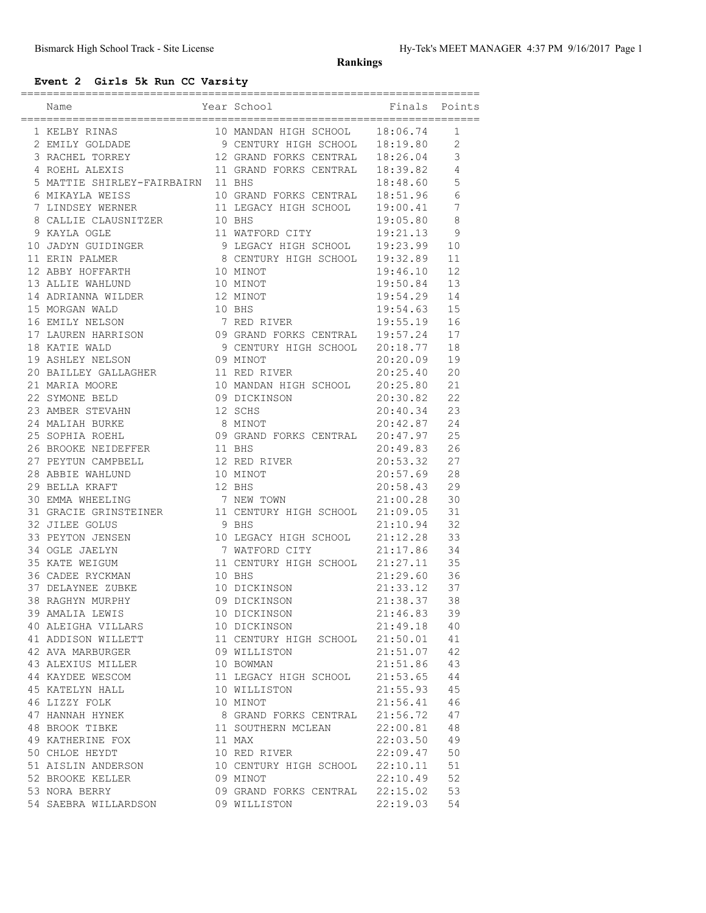#### **Rankings**

# **Event 2 Girls 5k Run CC Varsity**

| Year School<br>Name                                                                                                                                                                                                                                                                                                                                         | ,,,,,,,,,,,,,,,,,,,,,,,,,,,,,,,,<br><b>Example 1</b> Finals                     |          | Points         |
|-------------------------------------------------------------------------------------------------------------------------------------------------------------------------------------------------------------------------------------------------------------------------------------------------------------------------------------------------------------|---------------------------------------------------------------------------------|----------|----------------|
|                                                                                                                                                                                                                                                                                                                                                             |                                                                                 |          | 1              |
|                                                                                                                                                                                                                                                                                                                                                             |                                                                                 |          | $\overline{c}$ |
|                                                                                                                                                                                                                                                                                                                                                             |                                                                                 |          | 3              |
|                                                                                                                                                                                                                                                                                                                                                             |                                                                                 |          | $\overline{4}$ |
| 5 MATTIE SHIRLEY-FAIRBAIRN 11 BHS                                                                                                                                                                                                                                                                                                                           |                                                                                 | 18:48.60 | 5              |
|                                                                                                                                                                                                                                                                                                                                                             |                                                                                 |          | 6              |
|                                                                                                                                                                                                                                                                                                                                                             |                                                                                 |          | 7              |
|                                                                                                                                                                                                                                                                                                                                                             |                                                                                 |          | 8              |
| 6 MIKAYLA WEISS $\begin{tabular}{lllllllllllllllllllll} \hline 6 \text{ MIXAYLA WEISS} & 10 \text{ GRAND FORKS CENTRAL} & 18:51.96 \\ 7 \text{ LINDSEY WERNER} & 11 \text{ LEGACY HIGH SCHOOL} & 19:00.41 \\ 8 \text{ CALLIE CLAUSNITZER} & 10 \text{ BHS} & 19:05.80 \\ 9 \text{ KAYLA OGLE} & 11 \text{ WATFORD CITY} & 19:21.13 \\ \hline \end{tabular}$ |                                                                                 |          | 9              |
| 10 JADYN GUIDINGER<br>10 JADYN GUIDINGER<br>11 ERIN PALMER<br>12 ABBY HOFFARTH<br>12 ABBY HOFFARTH<br>12 ABBY 10 MINOT<br>12 12 50.00                                                                                                                                                                                                                       |                                                                                 |          | 10             |
|                                                                                                                                                                                                                                                                                                                                                             |                                                                                 |          | 11             |
|                                                                                                                                                                                                                                                                                                                                                             | 19:32.89<br>19:46.10<br>10 MINOT<br>12 MINOT<br>12 MINOT<br>10 BHS<br>7 PED DER |          | 12             |
| 13 ALLIE WAHLUND                                                                                                                                                                                                                                                                                                                                            |                                                                                 |          | 13             |
|                                                                                                                                                                                                                                                                                                                                                             |                                                                                 |          | 14             |
| 14 ADRIANNA WILDER<br>15 MORGAN WALD                                                                                                                                                                                                                                                                                                                        |                                                                                 |          | 15             |
|                                                                                                                                                                                                                                                                                                                                                             |                                                                                 |          |                |
|                                                                                                                                                                                                                                                                                                                                                             |                                                                                 |          |                |
|                                                                                                                                                                                                                                                                                                                                                             |                                                                                 |          |                |
|                                                                                                                                                                                                                                                                                                                                                             |                                                                                 |          |                |
|                                                                                                                                                                                                                                                                                                                                                             |                                                                                 |          |                |
|                                                                                                                                                                                                                                                                                                                                                             |                                                                                 |          |                |
|                                                                                                                                                                                                                                                                                                                                                             |                                                                                 |          |                |
|                                                                                                                                                                                                                                                                                                                                                             |                                                                                 |          |                |
|                                                                                                                                                                                                                                                                                                                                                             |                                                                                 |          |                |
|                                                                                                                                                                                                                                                                                                                                                             |                                                                                 |          |                |
|                                                                                                                                                                                                                                                                                                                                                             |                                                                                 |          |                |
| 25 SUPERTER<br>26 BROOKE NEIDEFFER<br>27 PEYTUN CAMPBELL<br>28 ABBIE WAHLUND<br>10 MINOT<br>12 BHS<br>28 ABBIE WAHLUND<br>12 BHS                                                                                                                                                                                                                            |                                                                                 |          |                |
|                                                                                                                                                                                                                                                                                                                                                             |                                                                                 | 20:57.69 | 28             |
|                                                                                                                                                                                                                                                                                                                                                             |                                                                                 | 20:58.43 | 29             |
|                                                                                                                                                                                                                                                                                                                                                             |                                                                                 |          | 30             |
| 30 EMMA WHEELING<br>31 GRACIE GRINSTEINER<br>32 JILEE GOLUS<br>32 JILEE GOLUS<br>32 JILEE GOLUS<br>33 PEYTON JENSEN<br>33 PEYTON JENSEN<br>32 PEYTON JENSEN<br>32 PEYTON JENSEN<br>32 PEYTON JENSEN<br>32 PEYTON JENSEN<br>32 PEYTON JENSEN<br>32 PEYT                                                                                                      |                                                                                 |          | 31             |
|                                                                                                                                                                                                                                                                                                                                                             |                                                                                 |          | 32             |
|                                                                                                                                                                                                                                                                                                                                                             |                                                                                 |          | 33             |
| 34 OGLE JAELYN 7 WATFORD CITY 21:17.86<br>35 KATE WEIGUM 11 CENTURY HIGH SCHOOL 21:27.11                                                                                                                                                                                                                                                                    |                                                                                 |          | 34             |
|                                                                                                                                                                                                                                                                                                                                                             |                                                                                 |          | 35             |
|                                                                                                                                                                                                                                                                                                                                                             |                                                                                 |          | 36             |
| 36 CADEE RYCKMAN<br>37 DELAYNEE ZUBKE<br>38 RAGHYN MURPHY<br>38 RAGHYN MURPHY<br>38 AMAILA I DELAYNEY<br>39 AMAILA I DELAY                                                                                                                                                                                                                                  |                                                                                 |          | 37             |
|                                                                                                                                                                                                                                                                                                                                                             |                                                                                 |          | 38             |
| 39 AMALIA LEWIS                                                                                                                                                                                                                                                                                                                                             | 10 DICKINSON                                                                    | 21:46.83 | 39             |
| 40 ALEIGHA VILLARS                                                                                                                                                                                                                                                                                                                                          | 10 DICKINSON                                                                    | 21:49.18 | 40             |
| 41 ADDISON WILLETT                                                                                                                                                                                                                                                                                                                                          | 11 CENTURY HIGH SCHOOL 21:50.01                                                 |          | 41             |
| 42 AVA MARBURGER                                                                                                                                                                                                                                                                                                                                            | 09 WILLISTON                                                                    | 21:51.07 | 42             |
| 43 ALEXIUS MILLER                                                                                                                                                                                                                                                                                                                                           | 10 BOWMAN                                                                       | 21:51.86 | 43             |
| 44 KAYDEE WESCOM                                                                                                                                                                                                                                                                                                                                            | 11 LEGACY HIGH SCHOOL                                                           | 21:53.65 | 44             |
| 45 KATELYN HALL                                                                                                                                                                                                                                                                                                                                             | 10 WILLISTON                                                                    | 21:55.93 | 45             |
| 46 LIZZY FOLK                                                                                                                                                                                                                                                                                                                                               | 10 MINOT                                                                        | 21:56.41 | 46             |
| 47 HANNAH HYNEK                                                                                                                                                                                                                                                                                                                                             | 8 GRAND FORKS CENTRAL 21:56.72                                                  |          | 47             |
| 48 BROOK TIBKE                                                                                                                                                                                                                                                                                                                                              | 11 SOUTHERN MCLEAN 22:00.81                                                     |          | 48             |
| 49 KATHERINE FOX                                                                                                                                                                                                                                                                                                                                            | 11 MAX                                                                          | 22:03.50 | 49             |
| 50 CHLOE HEYDT                                                                                                                                                                                                                                                                                                                                              | 10 RED RIVER                                                                    | 22:09.47 | 50             |
| 51 AISLIN ANDERSON                                                                                                                                                                                                                                                                                                                                          | 10 CENTURY HIGH SCHOOL 22:10.11                                                 |          | 51             |
| 52 BROOKE KELLER                                                                                                                                                                                                                                                                                                                                            | 09 MINOT                                                                        | 22:10.49 | 52             |
| 53 NORA BERRY                                                                                                                                                                                                                                                                                                                                               | 09 GRAND FORKS CENTRAL 22:15.02                                                 |          | 53             |
| 54 SAEBRA WILLARDSON                                                                                                                                                                                                                                                                                                                                        | 09 WILLISTON                                                                    | 22:19.03 | 54             |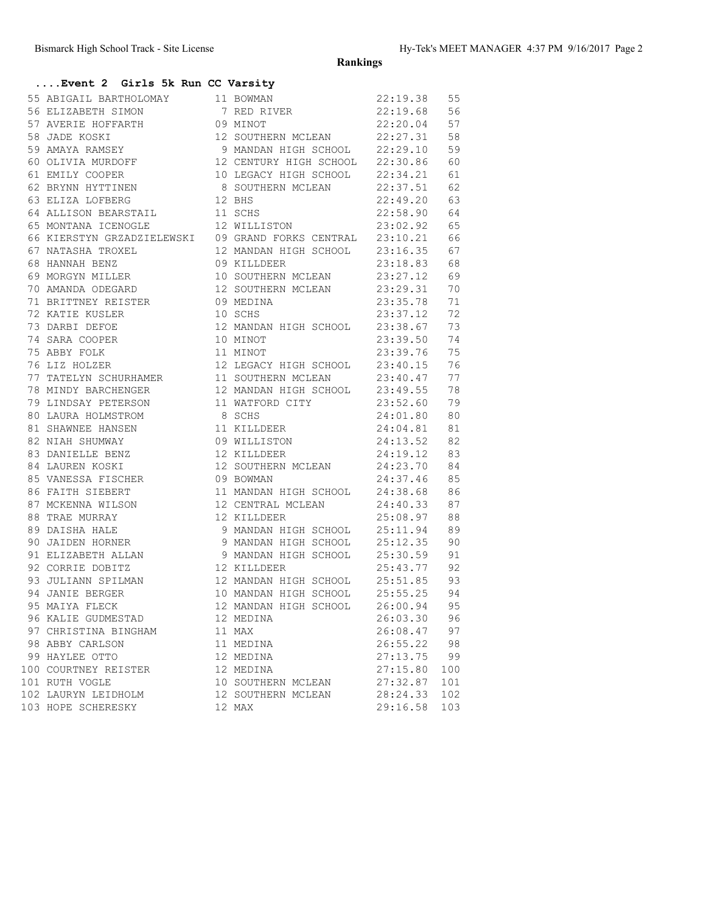**Rankings**

#### **....Event 2 Girls 5k Run CC Varsity**

|                                                                                                                                                               |                                                                                                                                    | 22:19.38 55<br>22:19.68 56<br>22:20.04 57 |     |
|---------------------------------------------------------------------------------------------------------------------------------------------------------------|------------------------------------------------------------------------------------------------------------------------------------|-------------------------------------------|-----|
|                                                                                                                                                               |                                                                                                                                    |                                           |     |
|                                                                                                                                                               |                                                                                                                                    |                                           |     |
| 58 JADE KOSKI                                                                                                                                                 | 12 SOUTHERN MCLEAN 22:27.31 58                                                                                                     |                                           |     |
| 59 AMAYA RAMSEY                                                                                                                                               | 9 MANDAN HIGH SCHOOL 22:29.10 59                                                                                                   |                                           |     |
| 60 OLIVIA MURDOFF                                                                                                                                             | 12 CENTURY HIGH SCHOOL 22:30.86 60                                                                                                 |                                           |     |
|                                                                                                                                                               |                                                                                                                                    |                                           |     |
|                                                                                                                                                               |                                                                                                                                    |                                           |     |
| 61 EMILY COOPER<br>62 BRYNN HYTTINEN<br>63 ELIZA LOFBERG                                                                                                      | 10 LEGACY HIGH SCHOOL 22:34.21 61<br>8 SOUTHERN MCLEAN 22:37.51 62<br>12 BHS 22:49.20 63<br>8 SOUTHERN MCLEAN<br>12 BHS            |                                           |     |
| 64 ALLISON BEARSTAIL 11 SCHS<br>65 MONTANA TOTILE                                                                                                             |                                                                                                                                    | 22:58.90 64                               |     |
| 65 MONTANA ICENOGLE 12 WILLISTON 23:02.92 65                                                                                                                  |                                                                                                                                    |                                           |     |
| 66 KIERSTYN GRZADZIELEWSKI 09 GRAND FORKS CENTRAL 23:10.21 66                                                                                                 |                                                                                                                                    |                                           |     |
|                                                                                                                                                               | 12 MANDAN HIGH SCHOOL 23:16.35 67<br>09 KILLDEER 23:18.83 68<br>10 SOUTHERN MCLEAN 23:27.12 69                                     |                                           |     |
| 67 NATASHA TROXEL<br>68 HANNAH BENZ<br>69 MORGYN MILLER                                                                                                       |                                                                                                                                    |                                           |     |
|                                                                                                                                                               |                                                                                                                                    |                                           |     |
| 70 AMANDA ODEGARD                                                                                                                                             | 12 SOUTHERN MCLEAN 23:29.31 70                                                                                                     |                                           |     |
| 71 BRITTNEY REISTER 09 MEDINA                                                                                                                                 |                                                                                                                                    |                                           | 71  |
| 72 KATIE KUSLER                                                                                                                                               | 09 MEDINA 23:35.78<br>10 SCHS 23:37.12                                                                                             |                                           |     |
| 73 DARBI DEFOE<br>74 SARA COOPER<br>75 ABBY FOLK<br>76 LIZ HOLZER                                                                                             | 10 SCHS 23:37.12 72<br>12 MANDAN HIGH SCHOOL 23:38.67 73<br>10 MINOT 23:39.50 74<br>11 MINOT 23:39.76 75                           |                                           |     |
|                                                                                                                                                               |                                                                                                                                    |                                           |     |
|                                                                                                                                                               |                                                                                                                                    |                                           |     |
|                                                                                                                                                               | 12 LEGACY HIGH SCHOOL 23:40.15 76                                                                                                  |                                           |     |
| 77 TATELYN SCHURHAMER 11 SOUTHERN MCLEAN 23:40.47 77                                                                                                          |                                                                                                                                    |                                           |     |
| 78 MINDY BARCHENGER                                                                                                                                           |                                                                                                                                    |                                           |     |
| 79 LINDSAY PETERSON                                                                                                                                           |                                                                                                                                    |                                           |     |
| 80 LAURA HOLMSTROM<br>81 SHAWNEE HANSEN                                                                                                                       | 12 MANDAN HIGH SCHOOL 23:49.55 78<br>11 WATFORD CITY 23:52.60 79<br>8 SCHS 24:01.80 80<br>11 WATFORD CITY<br>8 SCHS<br>11 KILLDEER |                                           |     |
|                                                                                                                                                               |                                                                                                                                    | 24:04.81                                  | 81  |
| 82 NIAH SHUMWAY                                                                                                                                               | 09 WILLISTON 24:13.52 82                                                                                                           |                                           |     |
| 83 DANIELLE BENZ                                                                                                                                              | 12 KILLDEER                                                                                                                        | 24:19.12 83                               |     |
| 84 LAUREN KOSKI                                                                                                                                               | 12 SOUTHERN MCLEAN 24:23.70 84                                                                                                     |                                           |     |
|                                                                                                                                                               |                                                                                                                                    |                                           |     |
|                                                                                                                                                               | 09 BOWMAN 24:37.46 85<br>11 MANDAN HIGH SCHOOL 24:38.68 86<br>12 CENTRAL MCLEAN 24:40.33 87                                        |                                           |     |
|                                                                                                                                                               |                                                                                                                                    |                                           |     |
|                                                                                                                                                               |                                                                                                                                    | 25:08.97 88                               |     |
|                                                                                                                                                               | 9 MANDAN HIGH SCHOOL 25:11.94 89                                                                                                   |                                           |     |
| 90 JAIDEN HORNER                                                                                                                                              | 9 MANDAN HIGH SCHOOL 25:12.35 90                                                                                                   |                                           |     |
| 91 ELIZABETH ALLAN<br>92 CORRIE DOBITZ                                                                                                                        | 9 MANDAN HIGH SCHOOL 25:30.59 91<br>12 KILLDEER 25:43.77 92<br>12 MANDAN HIGH SCHOOL 25:51.85 93                                   |                                           |     |
|                                                                                                                                                               |                                                                                                                                    |                                           |     |
|                                                                                                                                                               |                                                                                                                                    |                                           |     |
| 93 JULIANN SPILMAN 12 MANDAN HIGH SCHOOL 25:51.85 93<br>94 JANIE BERGER 10 MANDAN HIGH SCHOOL 25:55.25 94<br>95 MAIYA FLECK 12 MANDAN HIGH SCHOOL 26:00.94 95 |                                                                                                                                    |                                           |     |
|                                                                                                                                                               |                                                                                                                                    |                                           |     |
| 96 KALIE GUDMESTAD                                                                                                                                            | 12 MEDINA                                                                                                                          | 26:03.30                                  | 96  |
| 97 CHRISTINA BINGHAM                                                                                                                                          | 11 MAX                                                                                                                             | 26:08.47                                  | 97  |
| 98 ABBY CARLSON                                                                                                                                               | 11 MEDINA                                                                                                                          | 26:55.22                                  | 98  |
| 99 HAYLEE OTTO                                                                                                                                                | 12 MEDINA                                                                                                                          | 27:13.75                                  | 99  |
| 100 COURTNEY REISTER                                                                                                                                          | 12 MEDINA                                                                                                                          | 27:15.80                                  | 100 |
| 101 RUTH VOGLE                                                                                                                                                | 10 SOUTHERN MCLEAN                                                                                                                 | 27:32.87                                  | 101 |
| 102 LAURYN LEIDHOLM                                                                                                                                           | 12 SOUTHERN MCLEAN                                                                                                                 | 28:24.33                                  | 102 |
| 103 HOPE SCHERESKY                                                                                                                                            | 12 MAX                                                                                                                             | 29:16.58                                  | 103 |